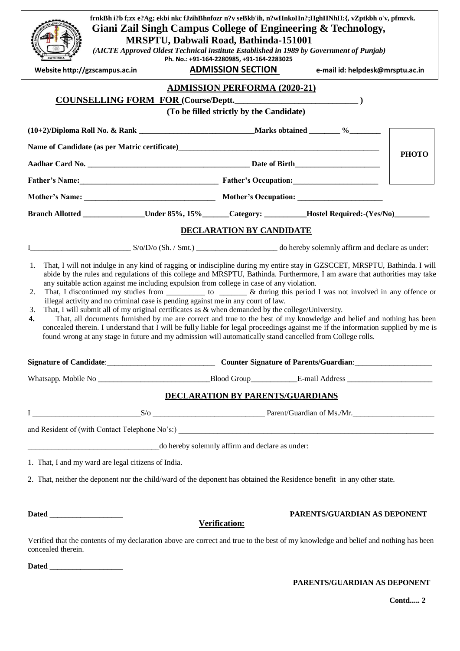|                                                                                                                                                                                                            |                                              |                                           | frnkBh i?b f;zx e?Ag; ekbi nkc fJzihBhnfozr n?v seBkb'ih, n?wHnkoHn?;HghHNhH:{, vZptkbh o'v, pfmzvk.<br>Giani Zail Singh Campus College of Engineering & Technology,                                                                                                                                                                                                                                                                                                                              |              |
|------------------------------------------------------------------------------------------------------------------------------------------------------------------------------------------------------------|----------------------------------------------|-------------------------------------------|---------------------------------------------------------------------------------------------------------------------------------------------------------------------------------------------------------------------------------------------------------------------------------------------------------------------------------------------------------------------------------------------------------------------------------------------------------------------------------------------------|--------------|
|                                                                                                                                                                                                            | <b>MRSPTU, Dabwali Road, Bathinda-151001</b> |                                           |                                                                                                                                                                                                                                                                                                                                                                                                                                                                                                   |              |
|                                                                                                                                                                                                            |                                              | Ph. No.: +91-164-2280985, +91-164-2283025 | (AICTE Approved Oldest Technical institute Established in 1989 by Government of Punjab)                                                                                                                                                                                                                                                                                                                                                                                                           |              |
| Website http://gzscampus.ac.in                                                                                                                                                                             |                                              | <b>ADMISSION SECTION</b>                  | e-mail id: helpdesk@mrsptu.ac.in                                                                                                                                                                                                                                                                                                                                                                                                                                                                  |              |
|                                                                                                                                                                                                            |                                              | <b>ADMISSION PERFORMA (2020-21)</b>       |                                                                                                                                                                                                                                                                                                                                                                                                                                                                                                   |              |
|                                                                                                                                                                                                            |                                              | (To be filled strictly by the Candidate)  | COUNSELLING FORM FOR (Course/Deptt.                                                                                                                                                                                                                                                                                                                                                                                                                                                               |              |
|                                                                                                                                                                                                            |                                              |                                           |                                                                                                                                                                                                                                                                                                                                                                                                                                                                                                   |              |
|                                                                                                                                                                                                            |                                              |                                           |                                                                                                                                                                                                                                                                                                                                                                                                                                                                                                   |              |
|                                                                                                                                                                                                            |                                              |                                           |                                                                                                                                                                                                                                                                                                                                                                                                                                                                                                   | <b>РНОТО</b> |
|                                                                                                                                                                                                            |                                              |                                           |                                                                                                                                                                                                                                                                                                                                                                                                                                                                                                   |              |
|                                                                                                                                                                                                            |                                              |                                           |                                                                                                                                                                                                                                                                                                                                                                                                                                                                                                   |              |
|                                                                                                                                                                                                            |                                              |                                           |                                                                                                                                                                                                                                                                                                                                                                                                                                                                                                   |              |
|                                                                                                                                                                                                            |                                              |                                           | Branch Allotted ______________Under 85%, 15% _____Category: ________Hostel Required:-(Yes/No) _______                                                                                                                                                                                                                                                                                                                                                                                             |              |
|                                                                                                                                                                                                            |                                              | <b>DECLARATION BY CANDIDATE</b>           |                                                                                                                                                                                                                                                                                                                                                                                                                                                                                                   |              |
|                                                                                                                                                                                                            |                                              |                                           |                                                                                                                                                                                                                                                                                                                                                                                                                                                                                                   |              |
| 2.<br>illegal activity and no criminal case is pending against me in any court of law.<br>That, I will submit all of my original certificates as $\&$ when demanded by the college/University.<br>3.<br>4. |                                              |                                           | That, I discontinued my studies from ___________ to ________ & during this period I was not involved in any offence or<br>That, all documents furnished by me are correct and true to the best of my knowledge and belief and nothing has been<br>concealed therein. I understand that I will be fully liable for legal proceedings against me if the information supplied by me is<br>found wrong at any stage in future and my admission will automatically stand cancelled from College rolls. |              |
|                                                                                                                                                                                                            |                                              |                                           |                                                                                                                                                                                                                                                                                                                                                                                                                                                                                                   |              |
|                                                                                                                                                                                                            |                                              |                                           |                                                                                                                                                                                                                                                                                                                                                                                                                                                                                                   |              |
|                                                                                                                                                                                                            |                                              |                                           | DECLARATION BY PARENTS/GUARDIANS                                                                                                                                                                                                                                                                                                                                                                                                                                                                  |              |
|                                                                                                                                                                                                            |                                              |                                           |                                                                                                                                                                                                                                                                                                                                                                                                                                                                                                   |              |
|                                                                                                                                                                                                            |                                              |                                           |                                                                                                                                                                                                                                                                                                                                                                                                                                                                                                   |              |
|                                                                                                                                                                                                            |                                              |                                           |                                                                                                                                                                                                                                                                                                                                                                                                                                                                                                   |              |
| 1. That, I and my ward are legal citizens of India.                                                                                                                                                        |                                              |                                           |                                                                                                                                                                                                                                                                                                                                                                                                                                                                                                   |              |
|                                                                                                                                                                                                            |                                              |                                           | 2. That, neither the deponent nor the child/ward of the deponent has obtained the Residence benefit in any other state.                                                                                                                                                                                                                                                                                                                                                                           |              |
|                                                                                                                                                                                                            |                                              | Verification:                             | PARENTS/GUARDIAN AS DEPONENT                                                                                                                                                                                                                                                                                                                                                                                                                                                                      |              |
| concealed therein.                                                                                                                                                                                         |                                              |                                           | Verified that the contents of my declaration above are correct and true to the best of my knowledge and belief and nothing has been                                                                                                                                                                                                                                                                                                                                                               |              |
|                                                                                                                                                                                                            |                                              |                                           |                                                                                                                                                                                                                                                                                                                                                                                                                                                                                                   |              |

## **PARENTS/GUARDIAN AS DEPONENT**

**Contd..... 2**